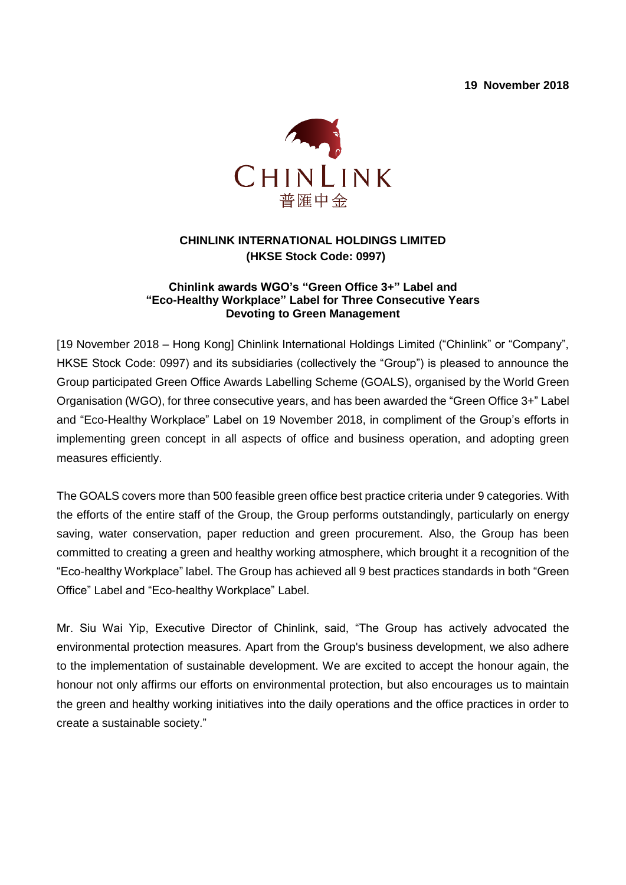**19 November 2018**



## **CHINLINK INTERNATIONAL HOLDINGS LIMITED (HKSE Stock Code: 0997)**

## **Chinlink awards WGO's "Green Office 3+" Label and "Eco-Healthy Workplace" Label for Three Consecutive Years Devoting to Green Management**

[19 November 2018 – Hong Kong] Chinlink International Holdings Limited ("Chinlink" or "Company", HKSE Stock Code: 0997) and its subsidiaries (collectively the "Group") is pleased to announce the Group participated Green Office Awards Labelling Scheme (GOALS), organised by the World Green Organisation (WGO), for three consecutive years, and has been awarded the "Green Office 3+" Label and "Eco-Healthy Workplace" Label on 19 November 2018, in compliment of the Group's efforts in implementing green concept in all aspects of office and business operation, and adopting green measures efficiently.

The GOALS covers more than 500 feasible green office best practice criteria under 9 categories. With the efforts of the entire staff of the Group, the Group performs outstandingly, particularly on energy saving, water conservation, paper reduction and green procurement. Also, the Group has been committed to creating a green and healthy working atmosphere, which brought it a recognition of the "Eco-healthy Workplace" label. The Group has achieved all 9 best practices standards in both "Green Office" Label and "Eco-healthy Workplace" Label.

Mr. Siu Wai Yip, Executive Director of Chinlink, said, "The Group has actively advocated the environmental protection measures. Apart from the Group's business development, we also adhere to the implementation of sustainable development. We are excited to accept the honour again, the honour not only affirms our efforts on environmental protection, but also encourages us to maintain the green and healthy working initiatives into the daily operations and the office practices in order to create a sustainable society."